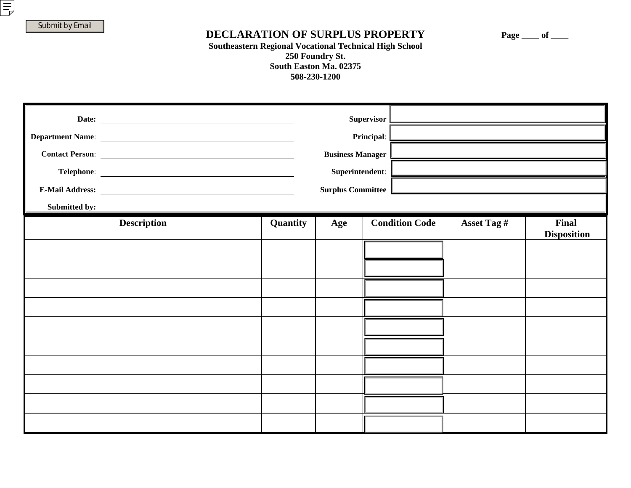## DECLARATION OF SURPLUS PROPERTY Page \_\_\_ of \_\_\_

## **Southeastern Regional Vocational Technical High School 250 Foundry St. South Easton Ma. 02375 508-230-1200**

| Submitted by: | Supervisor  <br>Principal:<br><b>Business Manager</b><br>Superintendent:<br><b>Surplus Committee</b> |          |     |                       |             |                             |
|---------------|------------------------------------------------------------------------------------------------------|----------|-----|-----------------------|-------------|-----------------------------|
|               | <b>Description</b>                                                                                   | Quantity | Age | <b>Condition Code</b> | Asset Tag # | Final<br><b>Disposition</b> |
|               |                                                                                                      |          |     |                       |             |                             |
|               |                                                                                                      |          |     |                       |             |                             |
|               |                                                                                                      |          |     |                       |             |                             |
|               |                                                                                                      |          |     |                       |             |                             |
|               |                                                                                                      |          |     |                       |             |                             |
|               |                                                                                                      |          |     |                       |             |                             |
|               |                                                                                                      |          |     |                       |             |                             |
|               |                                                                                                      |          |     |                       |             |                             |
|               |                                                                                                      |          |     |                       |             |                             |
|               |                                                                                                      |          |     |                       |             |                             |